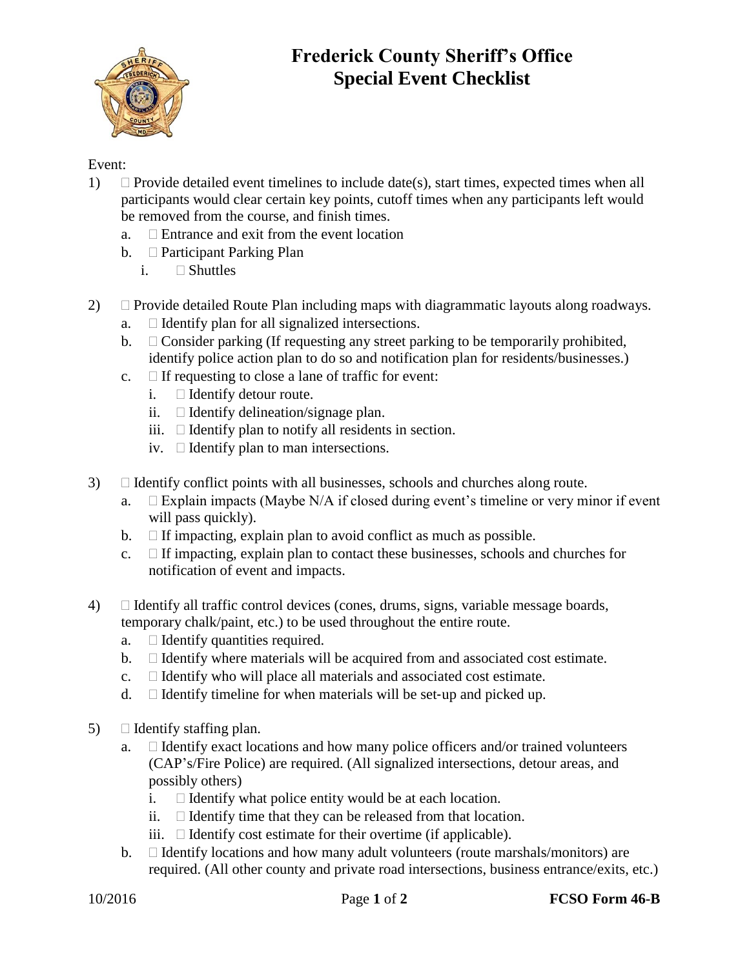

## **Frederick County Sheriff's Office Special Event Checklist**

## Event:

- 1)  $\Box$  Provide detailed event timelines to include date(s), start times, expected times when all participants would clear certain key points, cutoff times when any participants left would be removed from the course, and finish times.
	- a.  $\Box$  Entrance and exit from the event location
	- b.  $\Box$  Participant Parking Plan
		- i. Shuttles
- 2)  $\Box$  Provide detailed Route Plan including maps with diagrammatic layouts along roadways.
	- a.  $\Box$  Identify plan for all signalized intersections.
	- b.  $\Box$  Consider parking (If requesting any street parking to be temporarily prohibited, identify police action plan to do so and notification plan for residents/businesses.)
	- c.  $\Box$  If requesting to close a lane of traffic for event:
		- $i.$   $\square$  Identify detour route.
		- ii.  $\Box$  Identify delineation/signage plan.
		- iii.  $\Box$  Identify plan to notify all residents in section.
		- iv.  $\Box$  Identify plan to man intersections.
- $3)$  Identify conflict points with all businesses, schools and churches along route.
	- a.  $\Box$  Explain impacts (Maybe N/A if closed during event's timeline or very minor if event will pass quickly).
	- b.  $\Box$  If impacting, explain plan to avoid conflict as much as possible.
	- c.  $\Box$  If impacting, explain plan to contact these businesses, schools and churches for notification of event and impacts.
- $4)$  I dentify all traffic control devices (cones, drums, signs, variable message boards, temporary chalk/paint, etc.) to be used throughout the entire route.
	- a.  $\Box$  Identify quantities required.
	- $\mathbf{b}$ .  $\Box$  Identify where materials will be acquired from and associated cost estimate.
	- c.  $\Box$  Identify who will place all materials and associated cost estimate.
	- d.  $\Box$  Identify timeline for when materials will be set-up and picked up.
- 5)  $\Box$  Identify staffing plan.
	- a.  $\Box$  Identify exact locations and how many police officers and/or trained volunteers (CAP's/Fire Police) are required. (All signalized intersections, detour areas, and possibly others)
		- i.  $\Box$  Identify what police entity would be at each location.
		- ii.  $\Box$  Identify time that they can be released from that location.
		- iii.  $\Box$  Identify cost estimate for their overtime (if applicable).
	- b.  $\Box$  Identify locations and how many adult volunteers (route marshals/monitors) are required. (All other county and private road intersections, business entrance/exits, etc.)